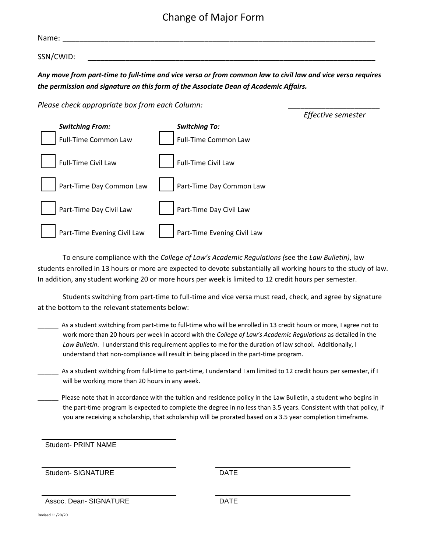## Change of Major Form

| Name:     |                                                                                                             |
|-----------|-------------------------------------------------------------------------------------------------------------|
| SSN/CWID: |                                                                                                             |
|           | Any move from part-time to full-time and vice versa or from common law to civil law and vice versa requires |

*the permission and signature on this form of the Associate Dean of Academic Affairs.* 

*Please check appropriate box from each Column: \_\_\_\_\_\_\_\_\_\_\_\_\_\_\_\_\_\_\_\_\_\_*



To ensure compliance with the *College of Law's Academic Regulations (*see the *Law Bulletin)*, law students enrolled in 13 hours or more are expected to devote substantially all working hours to the study of law. In addition, any student working 20 or more hours per week is limited to 12 credit hours per semester.

Students switching from part‐time to full‐time and vice versa must read, check, and agree by signature at the bottom to the relevant statements below:

- \_\_\_\_\_\_ As a student switching from part‐time to full‐time who will be enrolled in 13 credit hours or more, I agree not to work more than 20 hours per week in accord with the *College of Law's Academic Regulations* as detailed in the *Law Bulletin*. I understand this requirement applies to me for the duration of law school. Additionally, I understand that non‐compliance will result in being placed in the part‐time program.
- As a student switching from full‐time to part‐time, I understand I am limited to 12 credit hours per semester, if I will be working more than 20 hours in any week.
- Please note that in accordance with the tuition and residence policy in the Law Bulletin, a student who begins in the part-time program is expected to complete the degree in no less than 3.5 years. Consistent with that policy, if you are receiving a scholarship, that scholarship will be prorated based on a 3.5 year completion timeframe.

Student- PRINT NAME

Student- SIGNATURE DATE

Assoc. Dean- SIGNATURE **DATE** 

Revised 11/20/20